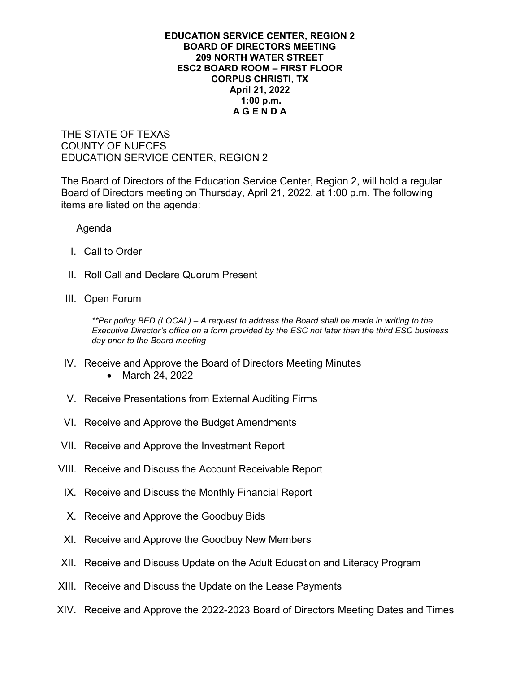## **EDUCATION SERVICE CENTER, REGION 2 BOARD OF DIRECTORS MEETING 209 NORTH WATER STREET ESC2 BOARD ROOM – FIRST FLOOR CORPUS CHRISTI, TX April 21, 2022 1:00 p.m. A G E N D A**

THE STATE OF TEXAS COUNTY OF NUECES EDUCATION SERVICE CENTER, REGION 2

The Board of Directors of the Education Service Center, Region 2, will hold a regular Board of Directors meeting on Thursday, April 21, 2022, at 1:00 p.m. The following items are listed on the agenda:

Agenda

- I. Call to Order
- II. Roll Call and Declare Quorum Present
- III. Open Forum

*\*\*Per policy BED (LOCAL) – A request to address the Board shall be made in writing to the Executive Director's office on a form provided by the ESC not later than the third ESC business day prior to the Board meeting*

- IV. Receive and Approve the Board of Directors Meeting Minutes
	- March 24, 2022
- V. Receive Presentations from External Auditing Firms
- VI. Receive and Approve the Budget Amendments
- VII. Receive and Approve the Investment Report
- VIII. Receive and Discuss the Account Receivable Report
- IX. Receive and Discuss the Monthly Financial Report
- X. Receive and Approve the Goodbuy Bids
- XI. Receive and Approve the Goodbuy New Members
- XII. Receive and Discuss Update on the Adult Education and Literacy Program
- XIII. Receive and Discuss the Update on the Lease Payments
- XIV. Receive and Approve the 2022-2023 Board of Directors Meeting Dates and Times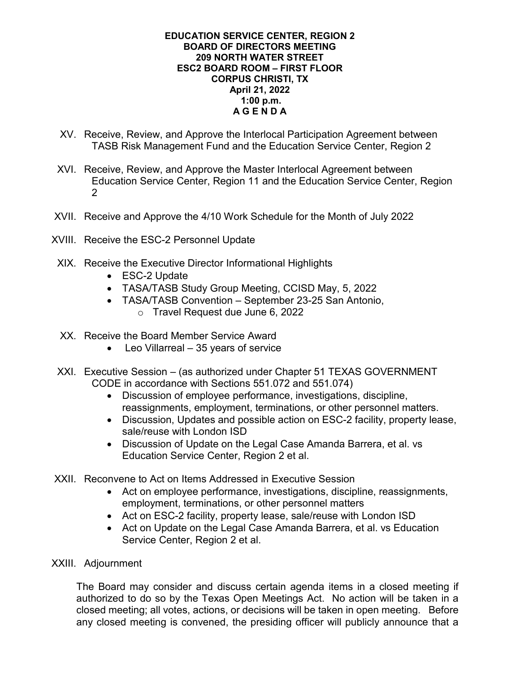## **EDUCATION SERVICE CENTER, REGION 2 BOARD OF DIRECTORS MEETING 209 NORTH WATER STREET ESC2 BOARD ROOM – FIRST FLOOR CORPUS CHRISTI, TX April 21, 2022 1:00 p.m. A G E N D A**

- XV. Receive, Review, and Approve the Interlocal Participation Agreement between TASB Risk Management Fund and the Education Service Center, Region 2
- XVI. Receive, Review, and Approve the Master Interlocal Agreement between Education Service Center, Region 11 and the Education Service Center, Region 2
- XVII. Receive and Approve the 4/10 Work Schedule for the Month of July 2022
- XVIII. Receive the ESC-2 Personnel Update
- XIX. Receive the Executive Director Informational Highlights
	- ESC-2 Update
	- TASA/TASB Study Group Meeting, CCISD May, 5, 2022
	- TASA/TASB Convention September 23-25 San Antonio,
		- o Travel Request due June 6, 2022
- XX. Receive the Board Member Service Award
	- Leo Villarreal 35 years of service
- XXI. Executive Session (as authorized under Chapter 51 TEXAS GOVERNMENT CODE in accordance with Sections 551.072 and 551.074)
	- Discussion of employee performance, investigations, discipline, reassignments, employment, terminations, or other personnel matters.
	- Discussion, Updates and possible action on ESC-2 facility, property lease, sale/reuse with London ISD
	- Discussion of Update on the Legal Case Amanda Barrera, et al. vs Education Service Center, Region 2 et al.
- XXII. Reconvene to Act on Items Addressed in Executive Session
	- Act on employee performance, investigations, discipline, reassignments, employment, terminations, or other personnel matters
	- Act on ESC-2 facility, property lease, sale/reuse with London ISD
	- Act on Update on the Legal Case Amanda Barrera, et al. vs Education Service Center, Region 2 et al.
- XXIII. Adjournment

The Board may consider and discuss certain agenda items in a closed meeting if authorized to do so by the Texas Open Meetings Act. No action will be taken in a closed meeting; all votes, actions, or decisions will be taken in open meeting. Before any closed meeting is convened, the presiding officer will publicly announce that a